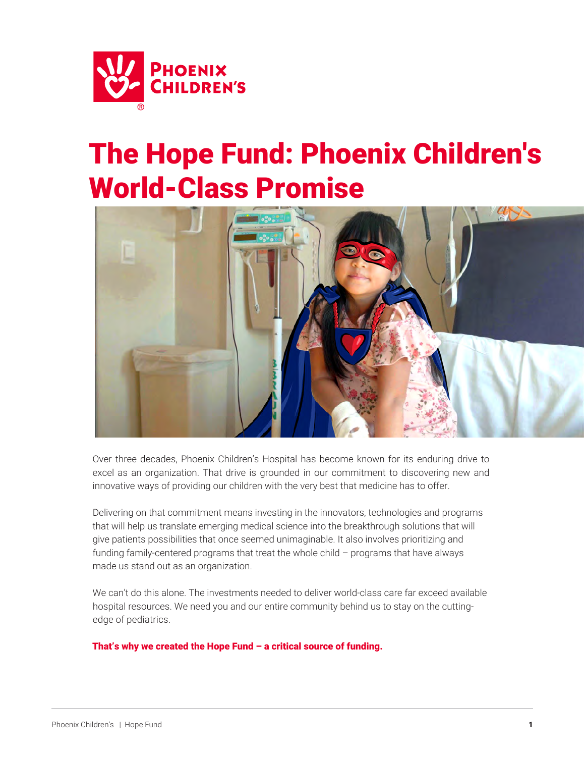

# The Hope Fund: Phoenix Children's World-Class Promise



Over three decades, Phoenix Children's Hospital has become known for its enduring drive to excel as an organization. That drive is grounded in our commitment to discovering new and innovative ways of providing our children with the very best that medicine has to offer.

Delivering on that commitment means investing in the innovators, technologies and programs that will help us translate emerging medical science into the breakthrough solutions that will give patients possibilities that once seemed unimaginable. It also involves prioritizing and funding family-centered programs that treat the whole child – programs that have always made us stand out as an organization.

We can't do this alone. The investments needed to deliver world-class care far exceed available hospital resources. We need you and our entire community behind us to stay on the cuttingedge of pediatrics.

That's why we created the Hope Fund – a critical source of funding.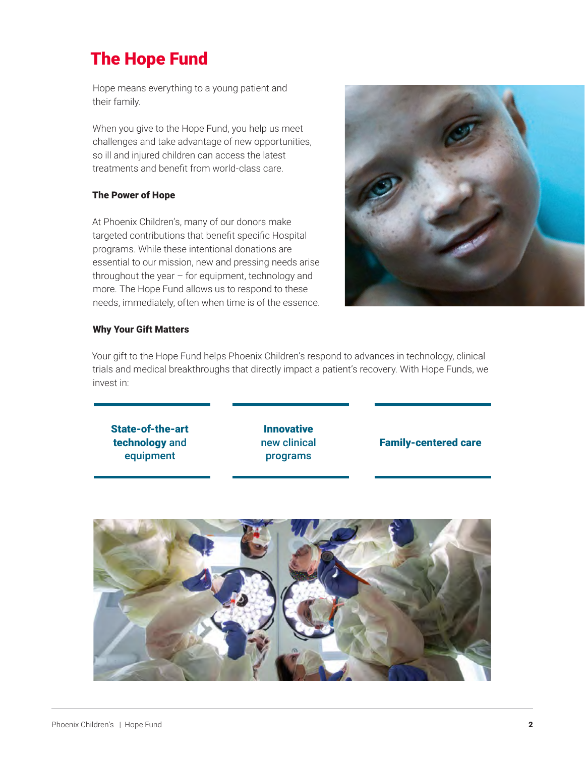## The Hope Fund

Hope means everything to a young patient and their family.

When you give to the Hope Fund, you help us meet challenges and take advantage of new opportunities, so ill and injured children can access the latest treatments and benefit from world-class care.

#### The Power of Hope

At Phoenix Children's, many of our donors make targeted contributions that benefit specific Hospital programs. While these intentional donations are essential to our mission, new and pressing needs arise throughout the year – for equipment, technology and more. The Hope Fund allows us to respond to these needs, immediately, often when time is of the essence.



#### Why Your Gift Matters

Your gift to the Hope Fund helps Phoenix Children's respond to advances in technology, clinical trials and medical breakthroughs that directly impact a patient's recovery. With Hope Funds, we invest in:

State-of-the-art technology and equipment

Innovative new clinical programs

#### Family-centered care

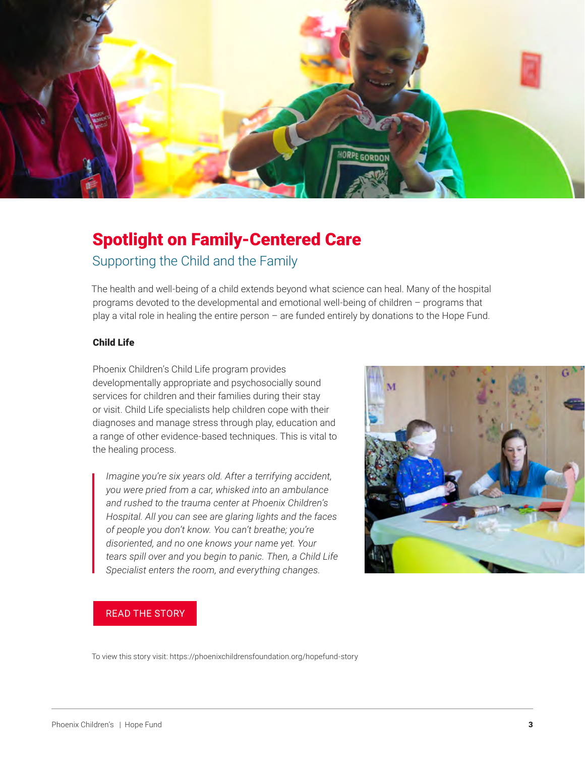

### Spotlight on Family-Centered Care Supporting the Child and the Family

The health and well-being of a child extends beyond what science can heal. Many of the hospital programs devoted to the developmental and emotional well-being of children – programs that play a vital role in healing the entire person – are funded entirely by donations to the Hope Fund.

#### Child Life

Phoenix Children's Child Life program provides developmentally appropriate and psychosocially sound services for children and their families during their stay or visit. Child Life specialists help children cope with their diagnoses and manage stress through play, education and a range of other evidence-based techniques. This is vital to the healing process.

*Imagine you're six years old. After a terrifying accident, you were pried from a car, whisked into an ambulance and rushed to the trauma center at Phoenix Children's Hospital. All you can see are glaring lights and the faces of people you don't know. You can't breathe; you're disoriented, and no one knows your name yet. Your tears spill over and you begin to panic. Then, a Child Life Specialist enters the room, and everything changes.*



#### [READ THE STORY](https://phoenixchildrensfoundation.org/hopefund-story)

To view this story visit: https://phoenixchildrensfoundation.org/hopefund-story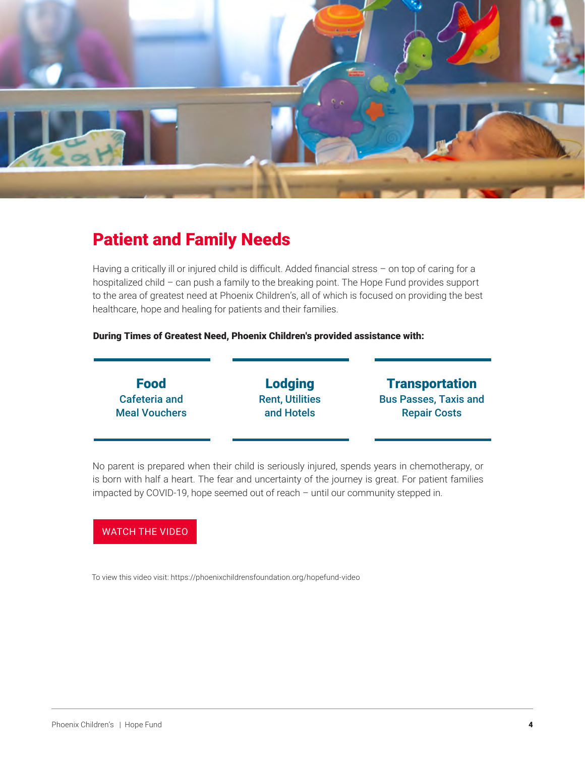

### Patient and Family Needs

Having a critically ill or injured child is difficult. Added financial stress - on top of caring for a hospitalized child – can push a family to the breaking point. The Hope Fund provides support to the area of greatest need at Phoenix Children's, all of which is focused on providing the best healthcare, hope and healing for patients and their families.

#### During Times of Greatest Need, Phoenix Children's provided assistance with:

| <b>Food</b>          | <b>Lodging</b>         | <b>Transportation</b>        |
|----------------------|------------------------|------------------------------|
| <b>Cafeteria and</b> | <b>Rent, Utilities</b> | <b>Bus Passes, Taxis and</b> |
| <b>Meal Vouchers</b> | and Hotels             | <b>Repair Costs</b>          |

No parent is prepared when their child is seriously injured, spends years in chemotherapy, or is born with half a heart. The fear and uncertainty of the journey is great. For patient families impacted by COVID-19, hope seemed out of reach – until our community stepped in.

#### [WATCH THE VIDEO](https://phoenixchildrensfoundation.org/hopefund-video)

To view this video visit: https://phoenixchildrensfoundation.org/hopefund-video